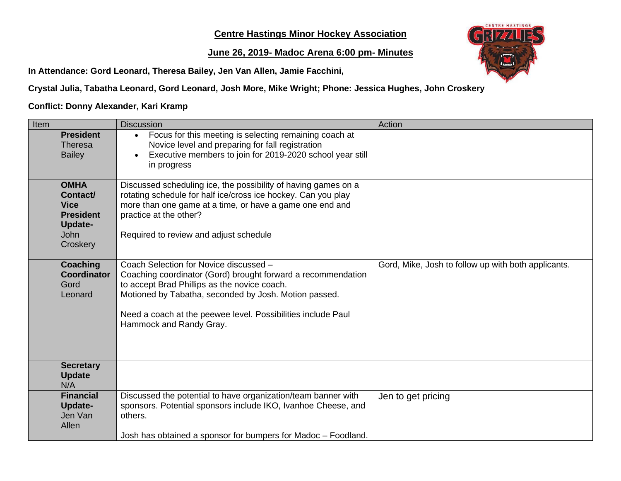## **Centre Hastings Minor Hockey Association**

## **June 26, 2019- Madoc Arena 6:00 pm- Minutes**

**In Attendance: Gord Leonard, Theresa Bailey, Jen Van Allen, Jamie Facchini,**



**Crystal Julia, Tabatha Leonard, Gord Leonard, Josh More, Mike Wright; Phone: Jessica Hughes, John Croskery**

## **Conflict: Donny Alexander, Kari Kramp**

| Item                                                                                             | <b>Discussion</b>                                                                                                                                                                                                                                                                                          | Action                                              |
|--------------------------------------------------------------------------------------------------|------------------------------------------------------------------------------------------------------------------------------------------------------------------------------------------------------------------------------------------------------------------------------------------------------------|-----------------------------------------------------|
| <b>President</b><br><b>Theresa</b><br><b>Bailey</b>                                              | Focus for this meeting is selecting remaining coach at<br>$\bullet$<br>Novice level and preparing for fall registration<br>Executive members to join for 2019-2020 school year still<br>$\bullet$<br>in progress                                                                                           |                                                     |
| <b>OMHA</b><br>Contact/<br><b>Vice</b><br><b>President</b><br>Update-<br><b>John</b><br>Croskery | Discussed scheduling ice, the possibility of having games on a<br>rotating schedule for half ice/cross ice hockey. Can you play<br>more than one game at a time, or have a game one end and<br>practice at the other?<br>Required to review and adjust schedule                                            |                                                     |
| <b>Coaching</b><br><b>Coordinator</b><br>Gord<br>Leonard                                         | Coach Selection for Novice discussed -<br>Coaching coordinator (Gord) brought forward a recommendation<br>to accept Brad Phillips as the novice coach.<br>Motioned by Tabatha, seconded by Josh. Motion passed.<br>Need a coach at the peewee level. Possibilities include Paul<br>Hammock and Randy Gray. | Gord, Mike, Josh to follow up with both applicants. |
| <b>Secretary</b><br><b>Update</b><br>N/A                                                         |                                                                                                                                                                                                                                                                                                            |                                                     |
| <b>Financial</b><br>Update-<br>Jen Van<br>Allen                                                  | Discussed the potential to have organization/team banner with<br>sponsors. Potential sponsors include IKO, Ivanhoe Cheese, and<br>others.<br>Josh has obtained a sponsor for bumpers for Madoc - Foodland.                                                                                                 | Jen to get pricing                                  |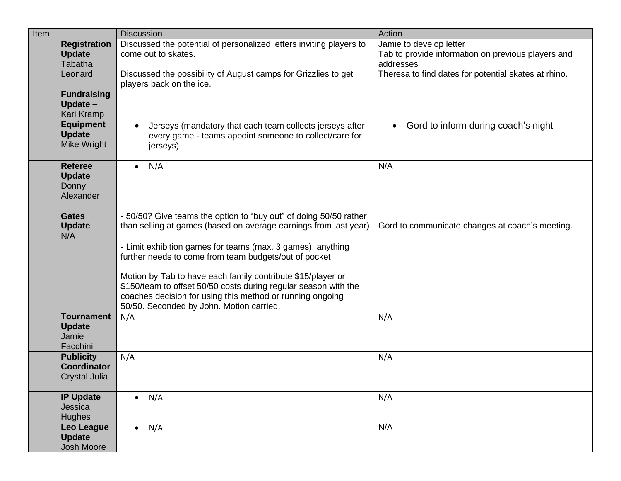| Item                                 |                                                         | <b>Discussion</b>                                                                                                                                                                                                                                                                                                                                                                                                                                                                                        | Action                                                                                                                                             |
|--------------------------------------|---------------------------------------------------------|----------------------------------------------------------------------------------------------------------------------------------------------------------------------------------------------------------------------------------------------------------------------------------------------------------------------------------------------------------------------------------------------------------------------------------------------------------------------------------------------------------|----------------------------------------------------------------------------------------------------------------------------------------------------|
| <b>Update</b><br>Leonard             | <b>Registration</b><br><b>Tabatha</b>                   | Discussed the potential of personalized letters inviting players to<br>come out to skates.<br>Discussed the possibility of August camps for Grizzlies to get<br>players back on the ice.                                                                                                                                                                                                                                                                                                                 | Jamie to develop letter<br>Tab to provide information on previous players and<br>addresses<br>Theresa to find dates for potential skates at rhino. |
|                                      | <b>Fundraising</b><br>Update $-$<br>Kari Kramp          |                                                                                                                                                                                                                                                                                                                                                                                                                                                                                                          |                                                                                                                                                    |
| <b>Update</b>                        | <b>Equipment</b><br><b>Mike Wright</b>                  | Jerseys (mandatory that each team collects jerseys after<br>$\bullet$<br>every game - teams appoint someone to collect/care for<br>jerseys)                                                                                                                                                                                                                                                                                                                                                              | Gord to inform during coach's night<br>$\bullet$                                                                                                   |
| <b>Update</b><br>Donny               | <b>Referee</b><br>Alexander                             | N/A<br>$\bullet$                                                                                                                                                                                                                                                                                                                                                                                                                                                                                         | N/A                                                                                                                                                |
| <b>Gates</b><br><b>Update</b><br>N/A |                                                         | - 50/50? Give teams the option to "buy out" of doing 50/50 rather<br>than selling at games (based on average earnings from last year)<br>- Limit exhibition games for teams (max. 3 games), anything<br>further needs to come from team budgets/out of pocket<br>Motion by Tab to have each family contribute \$15/player or<br>\$150/team to offset 50/50 costs during regular season with the<br>coaches decision for using this method or running ongoing<br>50/50. Seconded by John. Motion carried. | Gord to communicate changes at coach's meeting.                                                                                                    |
| <b>Update</b><br>Jamie               | <b>Tournament</b><br>Facchini                           | N/A                                                                                                                                                                                                                                                                                                                                                                                                                                                                                                      | N/A                                                                                                                                                |
|                                      | <b>Publicity</b><br><b>Coordinator</b><br>Crystal Julia | N/A                                                                                                                                                                                                                                                                                                                                                                                                                                                                                                      | N/A                                                                                                                                                |
| Jessica<br><b>Hughes</b>             | <b>IP Update</b>                                        | $\bullet$ N/A                                                                                                                                                                                                                                                                                                                                                                                                                                                                                            | N/A                                                                                                                                                |
| <b>Update</b>                        | <b>Leo League</b><br>Josh Moore                         | $\bullet$ N/A                                                                                                                                                                                                                                                                                                                                                                                                                                                                                            | N/A                                                                                                                                                |